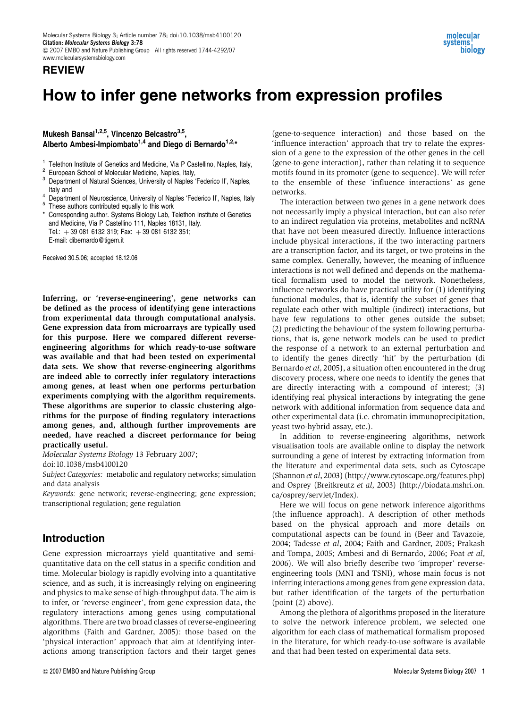# REVIEW

# How to infer gene networks from expression profiles

## Mukesh Bansal<sup>1,2,5</sup>, Vincenzo Belcastro<sup>3,5</sup>, Alberto Ambesi-Impiombato<sup>1,4</sup> and Diego di Bernardo<sup>1,2,\*</sup>

- 
- 
- 1 Telethon Institute of Genetics and Medicine, Via P Castellino, Naples, Italy, 2 European School of Molecular Medicine, Naples, Italy, 3 Department of Natural Sciences, University of Naples 'Federico II', Naples, Italy a
- Italy and 4 Department of Neuroscience, University of Naples 'Federico II', Naples, Italy 5 These authors contributed equally to this work
- 
- \* Corresponding author. Systems Biology Lab, Telethon Institute of Genetics and Medicine, Via P Castellino 111, Naples 18131, Italy. Tel.:  $+390816132319$ ; Fax:  $+390816132351$ ; E-mail: dibernardo@tigem.it

Received 30.5.06; accepted 18.12.06

Inferring, or 'reverse-engineering', gene networks can be defined as the process of identifying gene interactions from experimental data through computational analysis. Gene expression data from microarrays are typically used for this purpose. Here we compared different reverseengineering algorithms for which ready-to-use software was available and that had been tested on experimental data sets. We show that reverse-engineering algorithms are indeed able to correctly infer regulatory interactions among genes, at least when one performs perturbation experiments complying with the algorithm requirements. These algorithms are superior to classic clustering algorithms for the purpose of finding regulatory interactions among genes, and, although further improvements are needed, have reached a discreet performance for being practically useful.

Molecular Systems Biology 13 February 2007;

doi:10.1038/msb4100120

Subject Categories: metabolic and regulatory networks; simulation and data analysis

Keywords: gene network; reverse-engineering; gene expression; transcriptional regulation; gene regulation

# Introduction

Gene expression microarrays yield quantitative and semiquantitative data on the cell status in a specific condition and time. Molecular biology is rapidly evolving into a quantitative science, and as such, it is increasingly relying on engineering and physics to make sense of high-throughput data. The aim is to infer, or 'reverse-engineer', from gene expression data, the regulatory interactions among genes using computational algorithms. There are two broad classes of reverse-engineering algorithms (Faith and Gardner, 2005): those based on the 'physical interaction' approach that aim at identifying interactions among transcription factors and their target genes

(gene-to-sequence interaction) and those based on the 'influence interaction' approach that try to relate the expression of a gene to the expression of the other genes in the cell (gene-to-gene interaction), rather than relating it to sequence motifs found in its promoter (gene-to-sequence). We will refer to the ensemble of these 'influence interactions' as gene networks.

The interaction between two genes in a gene network does not necessarily imply a physical interaction, but can also refer to an indirect regulation via proteins, metabolites and ncRNA that have not been measured directly. Influence interactions include physical interactions, if the two interacting partners are a transcription factor, and its target, or two proteins in the same complex. Generally, however, the meaning of influence interactions is not well defined and depends on the mathematical formalism used to model the network. Nonetheless, influence networks do have practical utility for (1) identifying functional modules, that is, identify the subset of genes that regulate each other with multiple (indirect) interactions, but have few regulations to other genes outside the subset; (2) predicting the behaviour of the system following perturbations, that is, gene network models can be used to predict the response of a network to an external perturbation and to identify the genes directly 'hit' by the perturbation (di Bernardo et al, 2005), a situation often encountered in the drug discovery process, where one needs to identify the genes that are directly interacting with a compound of interest; (3) identifying real physical interactions by integrating the gene network with additional information from sequence data and other experimental data (i.e. chromatin immunoprecipitation, yeast two-hybrid assay, etc.).

In addition to reverse-engineering algorithms, network visualisation tools are available online to display the network surrounding a gene of interest by extracting information from the literature and experimental data sets, such as Cytoscape (Shannon et al, 2003) (http://www.cytoscape.org/features.php) and Osprey (Breitkreutz et al, 2003) (http://biodata.mshri.on. ca/osprey/servlet/Index).

Here we will focus on gene network inference algorithms (the influence approach). A description of other methods based on the physical approach and more details on computational aspects can be found in (Beer and Tavazoie, 2004; Tadesse et al, 2004; Faith and Gardner, 2005; Prakash and Tompa, 2005; Ambesi and di Bernardo, 2006; Foat et al, 2006). We will also briefly describe two 'improper' reverseengineering tools (MNI and TSNI), whose main focus is not inferring interactions among genes from gene expression data, but rather identification of the targets of the perturbation (point (2) above).

Among the plethora of algorithms proposed in the literature to solve the network inference problem, we selected one algorithm for each class of mathematical formalism proposed in the literature, for which ready-to-use software is available and that had been tested on experimental data sets.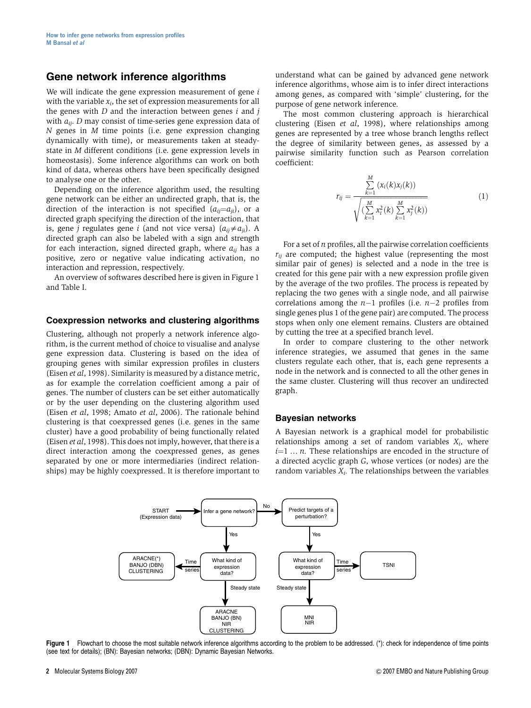## Gene network inference algorithms

We will indicate the gene expression measurement of gene  $i$ with the variable  $x_i$ , the set of expression measurements for all the genes with  $D$  and the interaction between genes  $i$  and  $j$ with  $a_{ij}$ . D may consist of time-series gene expression data of N genes in M time points (i.e. gene expression changing dynamically with time), or measurements taken at steadystate in M different conditions (i.e. gene expression levels in homeostasis). Some inference algorithms can work on both kind of data, whereas others have been specifically designed to analyse one or the other.

Depending on the inference algorithm used, the resulting gene network can be either an undirected graph, that is, the direction of the interaction is not specified  $(a_{ii}=a_{ii})$ , or a directed graph specifying the direction of the interaction, that is, gene *j* regulates gene *i* (and not vice versa)  $(a_{ii} \neq a_{ii})$ . A directed graph can also be labeled with a sign and strength for each interaction, signed directed graph, where  $a_{ii}$  has a positive, zero or negative value indicating activation, no interaction and repression, respectively.

An overview of softwares described here is given in Figure 1 and Table I.

#### Coexpression networks and clustering algorithms

Clustering, although not properly a network inference algorithm, is the current method of choice to visualise and analyse gene expression data. Clustering is based on the idea of grouping genes with similar expression profiles in clusters (Eisen et al, 1998). Similarity is measured by a distance metric, as for example the correlation coefficient among a pair of genes. The number of clusters can be set either automatically or by the user depending on the clustering algorithm used (Eisen et al, 1998; Amato et al, 2006). The rationale behind clustering is that coexpressed genes (i.e. genes in the same cluster) have a good probability of being functionally related (Eisen et al, 1998). This does not imply, however, that there is a direct interaction among the coexpressed genes, as genes separated by one or more intermediaries (indirect relationships) may be highly coexpressed. It is therefore important to

understand what can be gained by advanced gene network inference algorithms, whose aim is to infer direct interactions among genes, as compared with 'simple' clustering, for the purpose of gene network inference.

The most common clustering approach is hierarchical clustering (Eisen et al, 1998), where relationships among genes are represented by a tree whose branch lengths reflect the degree of similarity between genes, as assessed by a pairwise similarity function such as Pearson correlation coefficient:

$$
r_{ij} = \frac{\sum_{k=1}^{M} (x_i(k)x_j(k))}{\sqrt{\left(\sum_{k=1}^{M} x_i^2(k)\sum_{k=1}^{M} x_j^2(k)\right)}}
$$
(1)

For a set of  $n$  profiles, all the pairwise correlation coefficients  $r_{ii}$  are computed; the highest value (representing the most similar pair of genes) is selected and a node in the tree is created for this gene pair with a new expression profile given by the average of the two profiles. The process is repeated by replacing the two genes with a single node, and all pairwise correlations among the  $n-1$  profiles (i.e.  $n-2$  profiles from single genes plus 1 of the gene pair) are computed. The process stops when only one element remains. Clusters are obtained by cutting the tree at a specified branch level.

In order to compare clustering to the other network inference strategies, we assumed that genes in the same clusters regulate each other, that is, each gene represents a node in the network and is connected to all the other genes in the same cluster. Clustering will thus recover an undirected graph.

#### Bayesian networks

A Bayesian network is a graphical model for probabilistic relationships among a set of random variables  $X_i$ , where  $i=1...n$ . These relationships are encoded in the structure of a directed acyclic graph G, whose vertices (or nodes) are the random variables  $X_i$ . The relationships between the variables



Figure 1 Flowchart to choose the most suitable network inference algorithms according to the problem to be addressed. (\*): check for independence of time points (see text for details); (BN): Bayesian networks; (DBN): Dynamic Bayesian Networks.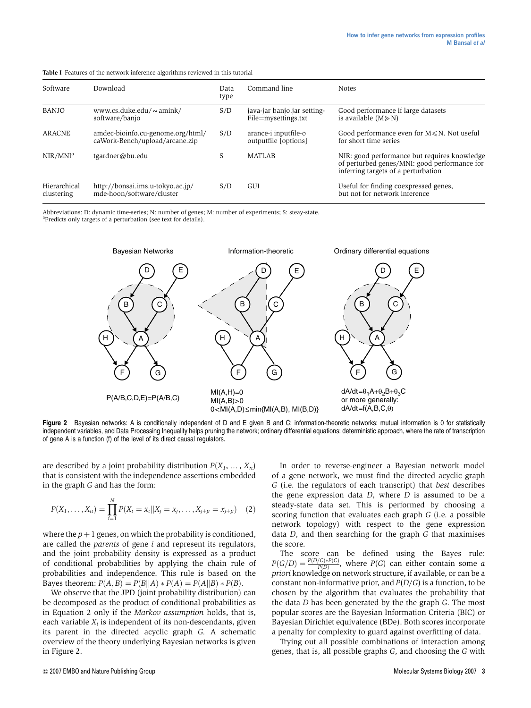| Software                   | Download                                                            | Data<br>type | Command line                                       | <b>Notes</b>                                                                                                                        |
|----------------------------|---------------------------------------------------------------------|--------------|----------------------------------------------------|-------------------------------------------------------------------------------------------------------------------------------------|
| <b>BANJO</b>               | www.cs.duke.edu/ $\sim$ amink/<br>software/banjo                    | S/D          | java-jar banjo.jar setting-<br>File=mysettings.txt | Good performance if large datasets<br>is available $(M \ge N)$                                                                      |
| ARACNE                     | amdec-bioinfo.cu-genome.org/html/<br>caWork-Bench/upload/arcane.zip | S/D          | arance-i inputfile-o<br>outputfile [options]       | Good performance even for $M \le N$ . Not useful<br>for short time series                                                           |
| NIR/MNI <sup>a</sup>       | tgardner@bu.edu                                                     | S            | <b>MATLAB</b>                                      | NIR: good performance but requires knowledge<br>of perturbed genes/MNI: good performance for<br>inferring targets of a perturbation |
| Hierarchical<br>clustering | http://bonsai.ims.u-tokyo.ac.jp/<br>mde-hoon/software/cluster       | S/D          | <b>GUI</b>                                         | Useful for finding coexpressed genes,<br>but not for network inference                                                              |

Table I Features of the network inference algorithms reviewed in this tutorial

Abbreviations: D: dynamic time-series; N: number of genes; M: number of experiments; S: steay-state. <sup>a</sup>Predicts only targets of a perturbation (see text for details).



Figure 2 Bayesian networks: A is conditionally independent of D and E given B and C; information-theoretic networks: mutual information is 0 for statistically independent variables, and Data Processing Inequality helps pruning the network; ordinary differential equations: deterministic approach, where the rate of transcription of gene A is a function (f) of the level of its direct causal regulators.

are described by a joint probability distribution  $P(X_1, \ldots, X_n)$ that is consistent with the independence assertions embedded in the graph G and has the form:

$$
P(X_1, ..., X_n) = \prod_{i=1}^N P(X_i = x_i || X_j = x_j, ..., X_{j+p} = x_{j+p}) \quad (2)
$$

where the  $p + 1$  genes, on which the probability is conditioned, are called the *parents* of gene  $i$  and represent its regulators, and the joint probability density is expressed as a product of conditional probabilities by applying the chain rule of probabilities and independence. This rule is based on the Bayes theorem:  $P(A, B) = P(B||A) * P(A) = P(A||B) * P(B)$ .

We observe that the JPD (joint probability distribution) can be decomposed as the product of conditional probabilities as in Equation 2 only if the Markov assumption holds, that is, each variable  $X_i$  is independent of its non-descendants, given its parent in the directed acyclic graph G. A schematic overview of the theory underlying Bayesian networks is given in Figure 2.

In order to reverse-engineer a Bayesian network model of a gene network, we must find the directed acyclic graph G (i.e. the regulators of each transcript) that best describes the gene expression data  $D$ , where  $D$  is assumed to be a steady-state data set. This is performed by choosing a scoring function that evaluates each graph G (i.e. a possible network topology) with respect to the gene expression data  $D$ , and then searching for the graph  $G$  that maximises the score.

The score can be defined using the Bayes rule:  $P(G/D) = \frac{P(D/G) * P(G)}{P(D)}$ , where  $P(G)$  can either contain some a priori knowledge on network structure, if available, or can be a constant non-informative prior, and  $P(D/G)$  is a function, to be chosen by the algorithm that evaluates the probability that the data  $D$  has been generated by the the graph  $G$ . The most popular scores are the Bayesian Information Criteria (BIC) or Bayesian Dirichlet equivalence (BDe). Both scores incorporate a penalty for complexity to guard against overfitting of data.

Trying out all possible combinations of interaction among genes, that is, all possible graphs G, and choosing the G with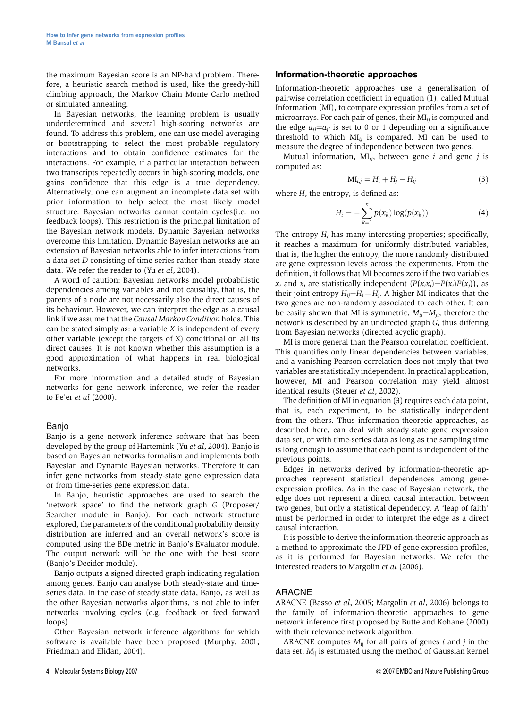the maximum Bayesian score is an NP-hard problem. Therefore, a heuristic search method is used, like the greedy-hill climbing approach, the Markov Chain Monte Carlo method or simulated annealing.

In Bayesian networks, the learning problem is usually underdetermined and several high-scoring networks are found. To address this problem, one can use model averaging or bootstrapping to select the most probable regulatory interactions and to obtain confidence estimates for the interactions. For example, if a particular interaction between two transcripts repeatedly occurs in high-scoring models, one gains confidence that this edge is a true dependency. Alternatively, one can augment an incomplete data set with prior information to help select the most likely model structure. Bayesian networks cannot contain cycles(i.e. no feedback loops). This restriction is the principal limitation of the Bayesian network models. Dynamic Bayesian networks overcome this limitation. Dynamic Bayesian networks are an extension of Bayesian networks able to infer interactions from a data set D consisting of time-series rather than steady-state data. We refer the reader to (Yu et al, 2004).

A word of caution: Bayesian networks model probabilistic dependencies among variables and not causality, that is, the parents of a node are not necessarily also the direct causes of its behaviour. However, we can interpret the edge as a causal link if we assume that the Causal Markov Condition holds. This can be stated simply as: a variable  $X$  is independent of every other variable (except the targets of X) conditional on all its direct causes. It is not known whether this assumption is a good approximation of what happens in real biological networks.

For more information and a detailed study of Bayesian networks for gene network inference, we refer the reader to Pe'er et al (2000).

#### **Banio**

Banjo is a gene network inference software that has been developed by the group of Hartemink (Yu et al, 2004). Banjo is based on Bayesian networks formalism and implements both Bayesian and Dynamic Bayesian networks. Therefore it can infer gene networks from steady-state gene expression data or from time-series gene expression data.

In Banjo, heuristic approaches are used to search the 'network space' to find the network graph G (Proposer/ Searcher module in Banjo). For each network structure explored, the parameters of the conditional probability density distribution are inferred and an overall network's score is computed using the BDe metric in Banjo's Evaluator module. The output network will be the one with the best score (Banjo's Decider module).

Banjo outputs a signed directed graph indicating regulation among genes. Banjo can analyse both steady-state and timeseries data. In the case of steady-state data, Banjo, as well as the other Bayesian networks algorithms, is not able to infer networks involving cycles (e.g. feedback or feed forward loops).

Other Bayesian network inference algorithms for which software is available have been proposed (Murphy, 2001; Friedman and Elidan, 2004).

## Information-theoretic approaches

Information-theoretic approaches use a generalisation of pairwise correlation coefficient in equation (1), called Mutual Information (MI), to compare expression profiles from a set of microarrays. For each pair of genes, their  $MI_{ii}$  is computed and the edge  $a_{ii}=a_{ii}$  is set to 0 or 1 depending on a significance threshold to which  $MI_{ij}$  is compared. MI can be used to measure the degree of independence between two genes.

Mutual information,  $MI_{ii}$ , between gene *i* and gene *j* is computed as:

$$
MI_{i,j} = H_i + H_j - H_{ij}
$$
 (3)

where  $H$ , the entropy, is defined as:

$$
H_i = -\sum_{k=1}^{n} p(x_k) \log(p(x_k))
$$
\n(4)

The entropy  $H_i$  has many interesting properties; specifically, it reaches a maximum for uniformly distributed variables, that is, the higher the entropy, the more randomly distributed are gene expression levels across the experiments. From the definition, it follows that MI becomes zero if the two variables  $x_i$  and  $x_i$  are statistically independent  $(P(x_ix_i)=P(x_i)P(x_i))$ , as their joint entropy  $H_{ij} = H_i + H_j$ . A higher MI indicates that the two genes are non-randomly associated to each other. It can be easily shown that MI is symmetric,  $M_{ij} = M_{ji}$ , therefore the network is described by an undirected graph G, thus differing from Bayesian networks (directed acyclic graph).

MI is more general than the Pearson correlation coefficient. This quantifies only linear dependencies between variables, and a vanishing Pearson correlation does not imply that two variables are statistically independent. In practical application, however, MI and Pearson correlation may yield almost identical results (Steuer et al, 2002).

The definition of MI in equation (3) requires each data point, that is, each experiment, to be statistically independent from the others. Thus information-theoretic approaches, as described here, can deal with steady-state gene expression data set, or with time-series data as long as the sampling time is long enough to assume that each point is independent of the previous points.

Edges in networks derived by information-theoretic approaches represent statistical dependences among geneexpression profiles. As in the case of Bayesian network, the edge does not represent a direct causal interaction between two genes, but only a statistical dependency. A 'leap of faith' must be performed in order to interpret the edge as a direct causal interaction.

It is possible to derive the information-theoretic approach as a method to approximate the JPD of gene expression profiles, as it is performed for Bayesian networks. We refer the interested readers to Margolin et al (2006).

#### ARACNE

ARACNE (Basso et al, 2005; Margolin et al, 2006) belongs to the family of information-theoretic approaches to gene network inference first proposed by Butte and Kohane (2000) with their relevance network algorithm.

ARACNE computes  $M_{ii}$  for all pairs of genes i and j in the data set.  $M_{ii}$  is estimated using the method of Gaussian kernel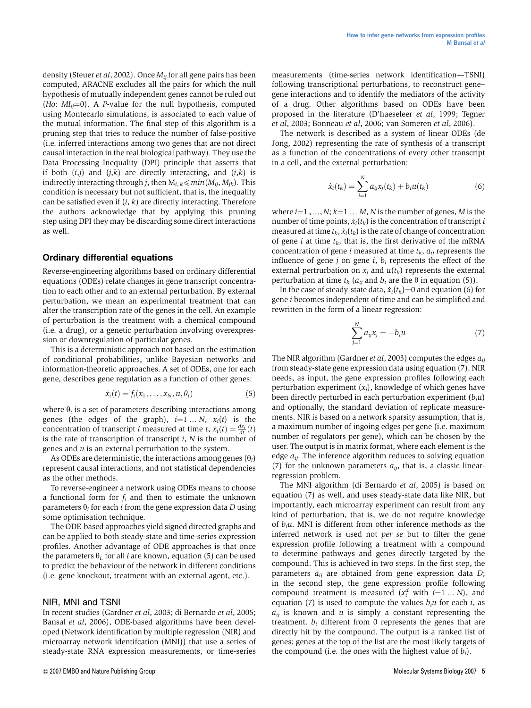density (Steuer et al, 2002). Once  $M_{ii}$  for all gene pairs has been computed, ARACNE excludes all the pairs for which the null hypothesis of mutually independent genes cannot be ruled out (Ho:  $MI_{ii}=0$ ). A P-value for the null hypothesis, computed using Montecarlo simulations, is associated to each value of the mutual information. The final step of this algorithm is a pruning step that tries to reduce the number of false-positive (i.e. inferred interactions among two genes that are not direct causal interaction in the real biological pathway). They use the Data Processing Inequality (DPI) principle that asserts that if both  $(i,j)$  and  $(j,k)$  are directly interacting, and  $(i,k)$  is indirectly interacting through *j*, then  $M_{i,k} \leqslant min(M_{ii}, M_{ik})$ . This condition is necessary but not sufficient, that is, the inequality can be satisfied even if  $(i, k)$  are directly interacting. Therefore the authors acknowledge that by applying this pruning step using DPI they may be discarding some direct interactions as well.

## Ordinary differential equations

Reverse-engineering algorithms based on ordinary differential equations (ODEs) relate changes in gene transcript concentration to each other and to an external perturbation. By external perturbation, we mean an experimental treatment that can alter the transcription rate of the genes in the cell. An example of perturbation is the treatment with a chemical compound (i.e. a drug), or a genetic perturbation involving overexpression or downregulation of particular genes.

This is a deterministic approach not based on the estimation of conditional probabilities, unlike Bayesian networks and information-theoretic approaches. A set of ODEs, one for each gene, describes gene regulation as a function of other genes:

$$
\dot{x}_i(t) = f_i(x_1, \dots, x_N, u, \theta_i) \tag{5}
$$

where  $\theta_i$  is a set of parameters describing interactions among genes (the edges of the graph),  $i=1...N$ ,  $x_i(t)$  is the concentration of transcript *i* measured at time  $t$ ,  $\dot{x}_i(t) = \frac{dx_i}{dt}(t)$ is the rate of transcription of transcript  $i$ ,  $N$  is the number of genes and  $u$  is an external perturbation to the system.

As ODEs are deterministic, the interactions among genes  $(\theta_i)$ represent causal interactions, and not statistical dependencies as the other methods.

To reverse-engineer a network using ODEs means to choose a functional form for  $f_i$  and then to estimate the unknown parameters  $\theta_i$  for each *i* from the gene expression data *D* using some optimisation technique.

The ODE-based approaches yield signed directed graphs and can be applied to both steady-state and time-series expression profiles. Another advantage of ODE approaches is that once the parameters  $\theta_i$  for all *i* are known, equation (5) can be used to predict the behaviour of the network in different conditions (i.e. gene knockout, treatment with an external agent, etc.).

#### NIR, MNI and TSNI

In recent studies (Gardner et al, 2003; di Bernardo et al, 2005; Bansal et al, 2006), ODE-based algorithms have been developed (Network identification by multiple regression (NIR) and microarray network identifcation (MNI)) that use a series of steady-state RNA expression measurements, or time-series

The network is described as a system of linear ODEs (de Jong, 2002) representing the rate of synthesis of a transcript as a function of the concentrations of every other transcript in a cell, and the external perturbation:

$$
\dot{x}_i(t_k) = \sum_{j=1}^N a_{ij} x_j(t_k) + b_i u(t_k)
$$
\n(6)

where  $i=1, ..., N; k=1, ..., M$ , N is the number of genes, M is the meter  $\overline{Y}$ ,  $\overline{Y}$ ,  $\overline{Y}$ ,  $\overline{Y}$  and  $\overline{Y}$  is the number of transcript *i* number of time points,  $\dot{x}_i(t_k)$  is the concentration of transcript *i* manneer of time points,  $x_i(x_k)$  is the concentration of transcript a measured at time  $t_k$ ,  $\dot{x}_i(t_k)$  is the rate of change of concentration of gene i at time  $t_k$ , that is, the first derivative of the mRNA concentration of gene i measured at time  $t_k$ ,  $a_{ij}$  represents the influence of gene j on gene i,  $b_i$  represents the effect of the external pertrurbation on  $x_i$  and  $u(t_k)$  represents the external perturbation at time  $t_k$  ( $a_{ij}$  and  $b_i$  are the  $\theta$  in equation (5)).

In the case of steady-state data,  $\dot{x}_i(t_k)=0$  and equation (6) for gene i becomes independent of time and can be simplified and rewritten in the form of a linear regression:

$$
\sum_{j=1}^{N} a_{ij} x_j = -b_i u \tag{7}
$$

The NIR algorithm (Gardner et al, 2003) computes the edges  $a_{ii}$ from steady-state gene expression data using equation (7). NIR needs, as input, the gene expression profiles following each perturbation experiment  $(x_i)$ , knowledge of which genes have been directly perturbed in each perturbation experiment  $(b<sub>i</sub>u)$ and optionally, the standard deviation of replicate measurements. NIR is based on a network sparsity assumption, that is, a maximum number of ingoing edges per gene (i.e. maximum number of regulators per gene), which can be chosen by the user. The output is in matrix format, where each element is the edge  $a_{ij}$ . The inference algorithm reduces to solving equation (7) for the unknown parameters  $a_{ij}$ , that is, a classic linearregression problem.

The MNI algorithm (di Bernardo et al, 2005) is based on equation (7) as well, and uses steady-state data like NIR, but importantly, each microarray experiment can result from any kind of perturbation, that is, we do not require knowledge of  $b_i u$ . MNI is different from other inference methods as the inferred network is used not per se but to filter the gene expression profile following a treatment with a compound to determine pathways and genes directly targeted by the compound. This is achieved in two steps. In the first step, the parameters  $a_{ii}$  are obtained from gene expression data  $D$ ; in the second step, the gene expression profile following compound treatment is measured  $(x_i^d$  with  $i=1...N$ ), and equation (7) is used to compute the values  $b_i u$  for each i, as  $a_{ij}$  is known and u is simply a constant representing the treatment.  $b_i$  different from 0 represents the genes that are directly hit by the compound. The output is a ranked list of genes; genes at the top of the list are the most likely targets of the compound (i.e. the ones with the highest value of  $b_i$ ).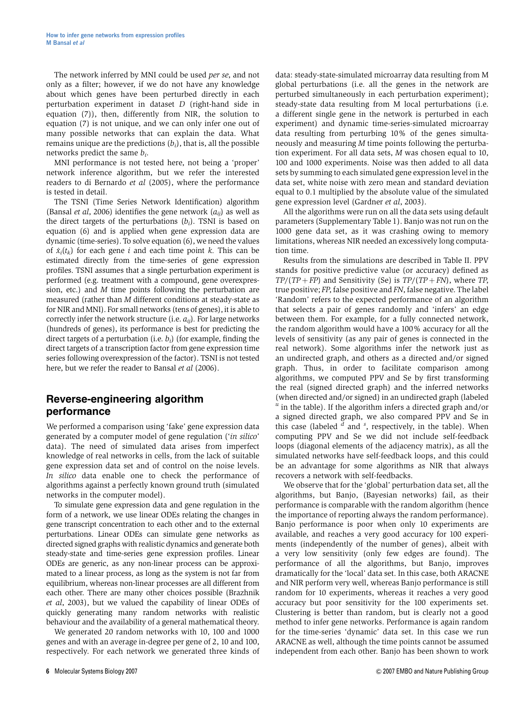The network inferred by MNI could be used per se, and not only as a filter; however, if we do not have any knowledge about which genes have been perturbed directly in each perturbation experiment in dataset D (right-hand side in equation (7)), then, differently from NIR, the solution to equation (7) is not unique, and we can only infer one out of many possible networks that can explain the data. What remains unique are the predictions  $(b_i)$ , that is, all the possible networks predict the same  $b_i$ .

MNI performance is not tested here, not being a 'proper' network inference algorithm, but we refer the interested readers to di Bernardo et al (2005), where the performance is tested in detail.

The TSNI (Time Series Network Identification) algorithm (Bansal *et al*, 2006) identifies the gene network  $(a_{ii})$  as well as the direct targets of the perturbations  $(b_i)$ . TSNI is based on equation (6) and is applied when gene expression data are dynamic (time-series). To solve equation (6), we need the values of  $\dot{x}_i(t_k)$  for each gene i and each time point k. This can be estimated directly from the time-series of gene expression profiles. TSNI assumes that a single perturbation experiment is performed (e.g. treatment with a compound, gene overexpression, etc.) and M time points following the perturbation are measured (rather than M different conditions at steady-state as for NIR and MNI). For small networks (tens of genes), it is able to correctly infer the network structure (i.e.  $a_{ii}$ ). For large networks (hundreds of genes), its performance is best for predicting the direct targets of a perturbation (i.e.  $b_i$ ) (for example, finding the direct targets of a transcription factor from gene expression time series following overexpression of the factor). TSNI is not tested here, but we refer the reader to Bansal et al (2006).

# Reverse-engineering algorithm performance

We performed a comparison using 'fake' gene expression data generated by a computer model of gene regulation ('in silico' data). The need of simulated data arises from imperfect knowledge of real networks in cells, from the lack of suitable gene expression data set and of control on the noise levels. In silico data enable one to check the performance of algorithms against a perfectly known ground truth (simulated networks in the computer model).

To simulate gene expression data and gene regulation in the form of a network, we use linear ODEs relating the changes in gene transcript concentration to each other and to the external perturbations. Linear ODEs can simulate gene networks as directed signed graphs with realistic dynamics and generate both steady-state and time-series gene expression profiles. Linear ODEs are generic, as any non-linear process can be approximated to a linear process, as long as the system is not far from equilibrium, whereas non-linear processes are all different from each other. There are many other choices possible (Brazhnik et al, 2003), but we valued the capability of linear ODEs of quickly generating many random networks with realistic behaviour and the availability of a general mathematical theory.

We generated 20 random networks with 10, 100 and 1000 genes and with an average in-degree per gene of 2, 10 and 100, respectively. For each network we generated three kinds of data: steady-state-simulated microarray data resulting from M global perturbations (i.e. all the genes in the network are perturbed simultaneously in each perturbation experiment); steady-state data resulting from M local perturbations (i.e. a different single gene in the network is perturbed in each experiment) and dynamic time-series-simulated microarray data resulting from perturbing 10% of the genes simultaneously and measuring M time points following the perturbation experiment. For all data sets, M was chosen equal to 10, 100 and 1000 experiments. Noise was then added to all data sets by summing to each simulated gene expression level in the data set, white noise with zero mean and standard deviation equal to 0.1 multiplied by the absolute value of the simulated gene expression level (Gardner et al, 2003).

All the algorithms were run on all the data sets using default parameters (Supplementary Table 1). Banjo was not run on the 1000 gene data set, as it was crashing owing to memory limitations, whereas NIR needed an excessively long computation time.

Results from the simulations are described in Table II. PPV stands for positive predictive value (or accuracy) defined as  $TP/(TP + FP)$  and Sensitivity (Se) is  $TP/(TP + FN)$ , where TP, true positive; FP, false positive and FN, false negative. The label 'Random' refers to the expected performance of an algorithm that selects a pair of genes randomly and 'infers' an edge between them. For example, for a fully connected network, the random algorithm would have a 100% accuracy for all the levels of sensitivity (as any pair of genes is connected in the real network). Some algorithms infer the network just as an undirected graph, and others as a directed and/or signed graph. Thus, in order to facilitate comparison among algorithms, we computed PPV and Se by first transforming the real (signed directed graph) and the inferred networks (when directed and/or signed) in an undirected graph (labeled  $\mu$  in the table). If the algorithm infers a directed graph and/or a signed directed graph, we also compared PPV and Se in this case (labeled  $\frac{d}{dx}$  and  $s$ , respectively, in the table). When computing PPV and Se we did not include self-feedback loops (diagonal elements of the adjacency matrix), as all the simulated networks have self-feedback loops, and this could be an advantage for some algorithms as NIR that always recovers a network with self-feedbacks.

We observe that for the 'global' perturbation data set, all the algorithms, but Banjo, (Bayesian networks) fail, as their performance is comparable with the random algorithm (hence the importance of reporting always the random performance). Banjo performance is poor when only 10 experiments are available, and reaches a very good accuracy for 100 experiments (independently of the number of genes), albeit with a very low sensitivity (only few edges are found). The performance of all the algorithms, but Banjo, improves dramatically for the 'local' data set. In this case, both ARACNE and NIR perform very well, whereas Banjo performance is still random for 10 experiments, whereas it reaches a very good accuracy but poor sensitivity for the 100 experiments set. Clustering is better than random, but is clearly not a good method to infer gene networks. Performance is again random for the time-series 'dynamic' data set. In this case we run ARACNE as well, although the time points cannot be assumed independent from each other. Banjo has been shown to work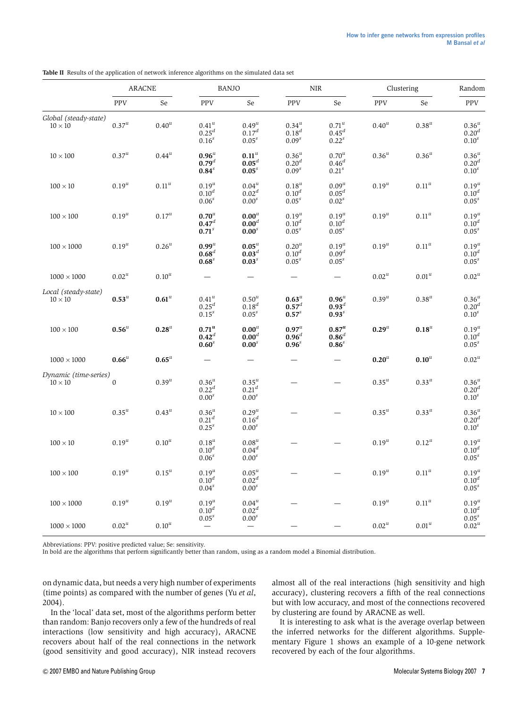|                                         |                   | <b>ARACNE</b>     |                                                        | <b>BANJO</b>                                                | <b>NIR</b>                                                  |                                                      | Clustering        |                   | Random                                        |
|-----------------------------------------|-------------------|-------------------|--------------------------------------------------------|-------------------------------------------------------------|-------------------------------------------------------------|------------------------------------------------------|-------------------|-------------------|-----------------------------------------------|
|                                         | <b>PPV</b>        | Se                | <b>PPV</b>                                             | Se                                                          | PPV                                                         | Se                                                   | PPV               | Se                | PPV                                           |
| Global (steady-state)<br>$10\times10$   | $0.37^{u}$        | $0.40^{u}$        | $0.41^{u}$<br>$0.25^d$<br>$0.16^{s}$                   | $0.49^{u}$<br>0.17 <sup>d</sup><br>$0.05^{s}$               | $0.34^{u}$<br>$0.18^{d}$<br>0.09 <sup>s</sup>               | $0.71^{u}$<br>$0.45^{d}$<br>$0.22^{s}$               | $0.40^{u}$        | $0.38^{u}$        | $0.36^{u}$<br>$0.20^{d}$<br>$0.10^{s}$        |
| $10 \times 100$                         | $0.37^{u}$        | $0.44^u$          | $\mathbf{0.96}^{u}$<br>$0.79^{d}$<br>0.84 <sup>s</sup> | 0.11 <sup>u</sup><br>0.05 <sup>d</sup><br>0.05 <sup>s</sup> | $0.36^{u}$<br>0.20 <sup>d</sup><br>0.09 <sup>s</sup>        | $0.70^{u}$<br>0.46 <sup>d</sup><br>0.21 <sup>s</sup> | $0.36^{u}$        | $0.36^{u}$        | $0.36^u$<br>0.20 <sup>d</sup><br>$0.10^{s}$   |
| $100 \times 10$                         | $0.19^{u}$        | 0.11 <sup>u</sup> | $0.19^{u}$<br>$0.10^d$<br>$0.06^{s}$                   | $0.04^{u}$<br>0.02 <sup>d</sup><br>0.00 <sup>s</sup>        | $0.18^{u}$<br>$0.10^d$<br>$0.05^{s}$                        | $0.09^{u}$<br>0.05 <sup>d</sup><br>0.02 <sup>s</sup> | $0.19^{u}$        | $0.11^{u}$        | $0.19^{u}$<br>$0.10^d$<br>$0.05^{s}$          |
| $100 \times 100$                        | $0.19^{u}$        | $0.17^{u}$        | $0.70^{u}$<br>0.47 <sup>d</sup><br>0.71 <sup>s</sup>   | 0.00 <sup>u</sup><br>0.00 <sup>d</sup><br>0.00 <sup>s</sup> | $0.19^{u}$<br>$0.10^d$<br>$0.05^{s}$                        | $0.19^{u}$<br>$0.10^d$<br>$0.05^{s}$                 | $0.19^{u}$        | $0.11^{u}$        | $0.19^{u}$<br>$0.10^d$<br>$0.05^{s}$          |
| $100 \times 1000$                       | $0.19^{u}$        | $0.26^{u}$        | 0.99 <sup>u</sup><br>$0.68^d$<br>0.68 <sup>s</sup>     | 0.05 <sup>u</sup><br>0.03 <sup>d</sup><br>0.03 <sup>s</sup> | $0.20^{u}$<br>$0.10^{d}$<br>$0.05^{s}$                      | $0.19^{u}$<br>0.09 <sup>d</sup><br>$0.05^{s}$        | $0.19^{u}$        | $0.11^{u}$        | $0.19^{u}$<br>$0.10^d$<br>$0.05^s$            |
| $1000 \times 1000$                      | $0.02^{u}$        | $0.10^u$          |                                                        |                                                             |                                                             |                                                      | $0.02^u$          | $0.01^{u}$        | $0.02^u$                                      |
| Local (steady-state)<br>$10 \times 10$  | 0.53 <sup>u</sup> | 0.61 <sup>u</sup> | $0.41^u$<br>$0.25^{d}$<br>$0.15^{s}$                   | $0.50^{u}$<br>$0.18^{d}$<br>$0.05^{s}$                      | 0.63 <sup>u</sup><br>0.57 <sup>d</sup><br>0.57 <sup>s</sup> | $0.96^{u}$<br>$0.93^d$<br>0.93 <sup>s</sup>          | $0.39^{u}$        | $0.38^{u}$        | $0.36^{u}$<br>$0.20^{d}$<br>$0.10^{s}$        |
| $100 \times 100$                        | 0.56 <sup>u</sup> | 0.28 <sup>u</sup> | $0.71^{u}$<br>$0.42^d$<br>0.60 <sup>s</sup>            | 0.00 <sup>u</sup><br>$0.00^d$<br>0.00 <sup>s</sup>          | $0.97^{u}$<br>0.96 <sup>d</sup><br>0.96 <sup>s</sup>        | $0.87^u$<br>0.86 <sup>d</sup><br>0.86 <sup>s</sup>   | 0.29 <sup>u</sup> | 0.18 <sup>u</sup> | $0.19^{u}$<br>$0.10^d$<br>$0.05^{s}$          |
| $1000\times1000$                        | 0.66 <sup>u</sup> | 0.65 <sup>u</sup> |                                                        |                                                             |                                                             |                                                      | 0.20 <sup>u</sup> | $0.10^{u}$        | $0.02^u$                                      |
| Dynamic (time-series)<br>$10 \times 10$ | $\boldsymbol{0}$  | $0.39^{u}$        | $0.36^{u}$<br>0.22 <sup>d</sup><br>0.00 <sup>s</sup>   | $0.35^{u}$<br>0.21 <sup>d</sup><br>0.00 <sup>s</sup>        |                                                             |                                                      | $0.35^{u}$        | $0.33^{u}$        | $0.36^{u}$<br>0.20 <sup>d</sup><br>$0.10^{s}$ |
| $10 \times 100$                         | $0.35^{u}$        | $0.43^{u}$        | $0.36^{u}$<br>0.21 <sup>d</sup><br>$0.25^{s}$          | $0.29^{u}$<br>$0.16^{d}$<br>0.00 <sup>s</sup>               |                                                             |                                                      | $0.35^{u}$        | $0.33^{u}$        | $0.36^{u}$<br>$0.20^{d}$<br>$0.10^{s}$        |
| $100 \times 10$                         | $0.19^{u}$        | $0.10^{u}$        | $0.18^{u}$<br>$0.10^{d}$<br>$0.06^{s}$                 | $0.08^{u}$<br>0.04 <sup>d</sup><br>0.00 <sup>s</sup>        |                                                             |                                                      | $0.19^u$          | $0.12^{u}$        | $0.19^{u}$<br>$0.10^d$<br>$0.05^{s}$          |
| $100 \times 100$                        | $0.19^{u}$        | $0.15^{u}$        | $0.19^{u}$<br>$0.10^d$<br>$0.04^s$                     | $0.05^{u}$<br>$0.02^d$<br>$0.00^s$                          |                                                             |                                                      | $0.19^{u}$        | $0.11^{u}$        | $0.19^{u}$<br>$0.10^d$<br>$0.05^{s}$          |
| $100 \times 1000$                       | $0.19^{u}$        | $0.19^{u}$        | $0.19^{u}$<br>$0.10^{d}$<br>$0.05^{s}$                 | $0.04^{u}$<br>0.02 <sup>d</sup><br>0.00 <sup>s</sup>        |                                                             |                                                      | $0.19^{u}$        | $0.11^{u}$        | $0.19^{u}$<br>$0.10^d$<br>$0.05^{s}$          |
| $1000\times1000$                        | $0.02^{u}$        | $0.10^{u}$        | $\overline{\phantom{0}}$                               | $\overline{\phantom{0}}$                                    |                                                             |                                                      | $0.02^{u}$        | $0.01^{u}$        | $0.02^{u}$                                    |

Table II Results of the application of network inference algorithms on the simulated data set

Abbreviations: PPV: positive predicted value; Se: sensitivity.

In bold are the algorithms that perform significantly better than random, using as a random model a Binomial distribution.

on dynamic data, but needs a very high number of experiments (time points) as compared with the number of genes (Yu et al, 2004).

In the 'local' data set, most of the algorithms perform better than random: Banjo recovers only a few of the hundreds of real interactions (low sensitivity and high accuracy), ARACNE recovers about half of the real connections in the network (good sensitivity and good accuracy), NIR instead recovers

almost all of the real interactions (high sensitivity and high accuracy), clustering recovers a fifth of the real connections but with low accuracy, and most of the connections recovered by clustering are found by ARACNE as well.

It is interesting to ask what is the average overlap between the inferred networks for the different algorithms. Supplementary Figure 1 shows an example of a 10-gene network recovered by each of the four algorithms.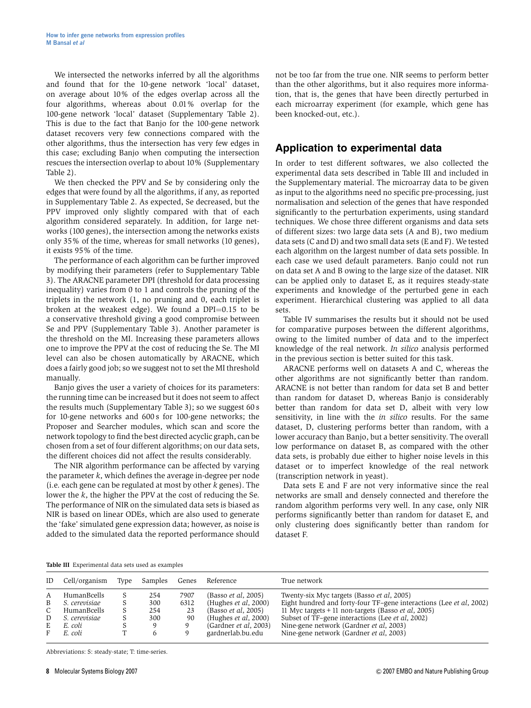We intersected the networks inferred by all the algorithms and found that for the 10-gene network 'local' dataset, on average about 10% of the edges overlap across all the four algorithms, whereas about 0.01% overlap for the 100-gene network 'local' dataset (Supplementary Table 2). This is due to the fact that Banjo for the 100-gene network dataset recovers very few connections compared with the other algorithms, thus the intersection has very few edges in this case; excluding Banjo when computing the intersection rescues the intersection overlap to about 10% (Supplementary Table 2).

We then checked the PPV and Se by considering only the edges that were found by all the algorithms, if any, as reported in Supplementary Table 2. As expected, Se decreased, but the PPV improved only slightly compared with that of each algorithm considered separately. In addition, for large networks (100 genes), the intersection among the networks exists only 35% of the time, whereas for small networks (10 genes), it exists 95% of the time.

The performance of each algorithm can be further improved by modifying their parameters (refer to Supplementary Table 3). The ARACNE parameter DPI (threshold for data processing inequality) varies from 0 to 1 and controls the pruning of the triplets in the network (1, no pruning and 0, each triplet is broken at the weakest edge). We found a  $DPI=0.15$  to be a conservative threshold giving a good compromise between Se and PPV (Supplementary Table 3). Another parameter is the threshold on the MI. Increasing these parameters allows one to improve the PPV at the cost of reducing the Se. The MI level can also be chosen automatically by ARACNE, which does a fairly good job; so we suggest not to set the MI threshold manually.

Banjo gives the user a variety of choices for its parameters: the running time can be increased but it does not seem to affect the results much (Supplementary Table 3); so we suggest 60 s for 10-gene networks and 600 s for 100-gene networks; the Proposer and Searcher modules, which scan and score the network topology to find the best directed acyclic graph, can be chosen from a set of four different algorithms; on our data sets, the different choices did not affect the results considerably.

The NIR algorithm performance can be affected by varying the parameter  $k$ , which defines the average in-degree per node (i.e. each gene can be regulated at most by other  $k$  genes). The lower the k, the higher the PPV at the cost of reducing the Se. The performance of NIR on the simulated data sets is biased as NIR is based on linear ODEs, which are also used to generate the 'fake' simulated gene expression data; however, as noise is added to the simulated data the reported performance should

not be too far from the true one. NIR seems to perform better than the other algorithms, but it also requires more information, that is, the genes that have been directly perturbed in each microarray experiment (for example, which gene has been knocked-out, etc.).

# Application to experimental data

In order to test different softwares, we also collected the experimental data sets described in Table III and included in the Supplementary material. The microarray data to be given as input to the algorithms need no specific pre-processing, just normalisation and selection of the genes that have responded significantly to the perturbation experiments, using standard techniques. We chose three different organisms and data sets of different sizes: two large data sets (A and B), two medium data sets (C and D) and two small data sets (E and F). We tested each algorithm on the largest number of data sets possible. In each case we used default parameters. Banjo could not run on data set A and B owing to the large size of the dataset. NIR can be applied only to dataset E, as it requires steady-state experiments and knowledge of the perturbed gene in each experiment. Hierarchical clustering was applied to all data sets.

Table IV summarises the results but it should not be used for comparative purposes between the different algorithms, owing to the limited number of data and to the imperfect knowledge of the real network. In silico analysis performed in the previous section is better suited for this task.

ARACNE performs well on datasets A and C, whereas the other algorithms are not significantly better than random. ARACNE is not better than random for data set B and better than random for dataset D, whereas Banjo is considerably better than random for data set D, albeit with very low sensitivity, in line with the *in silico* results. For the same dataset, D, clustering performs better than random, with a lower accuracy than Banjo, but a better sensitivity. The overall low performance on dataset B, as compared with the other data sets, is probably due either to higher noise levels in this dataset or to imperfect knowledge of the real network (transcription network in yeast).

Data sets E and F are not very informative since the real networks are small and densely connected and therefore the random algorithm performs very well. In any case, only NIR performs significantly better than random for dataset E, and only clustering does significantly better than random for dataset F.

Table III Experimental data sets used as examples

| ID                           | Cell/organism                                                                                    | Type Samples                       | Genes                    | Reference                                                                                                                                                                         | True network                                                                                                                                                                                                                                                                                                                                         |
|------------------------------|--------------------------------------------------------------------------------------------------|------------------------------------|--------------------------|-----------------------------------------------------------------------------------------------------------------------------------------------------------------------------------|------------------------------------------------------------------------------------------------------------------------------------------------------------------------------------------------------------------------------------------------------------------------------------------------------------------------------------------------------|
| A<br>B<br>C.<br>D<br>E.<br>F | <b>HumanBcells</b><br>S. cerevisiae<br><b>HumanBcells</b><br>S. cerevisiae<br>E. coli<br>E. coli | 254<br>300<br>254<br>300<br>9<br>6 | 7907<br>6312<br>23<br>90 | (Basso <i>et al.</i> , 2005)<br>(Hughes <i>et al.</i> , 2000)<br>(Basso <i>et al.</i> 2005)<br>(Hughes <i>et al.</i> 2000)<br>(Gardner <i>et al.</i> , 2003)<br>gardnerlab.bu.edu | Twenty-six Myc targets (Basso et al, 2005)<br>Eight hundred and forty-four TF-gene interactions (Lee <i>et al</i> , 2002)<br>11 Myc targets $+$ 11 non-targets (Basso <i>et al</i> , 2005)<br>Subset of TF-gene interactions (Lee <i>et al</i> , 2002)<br>Nine-gene network (Gardner <i>et al</i> , 2003)<br>Nine-gene network (Gardner et al, 2003) |

Abbreviations: S: steady-state; T: time-series.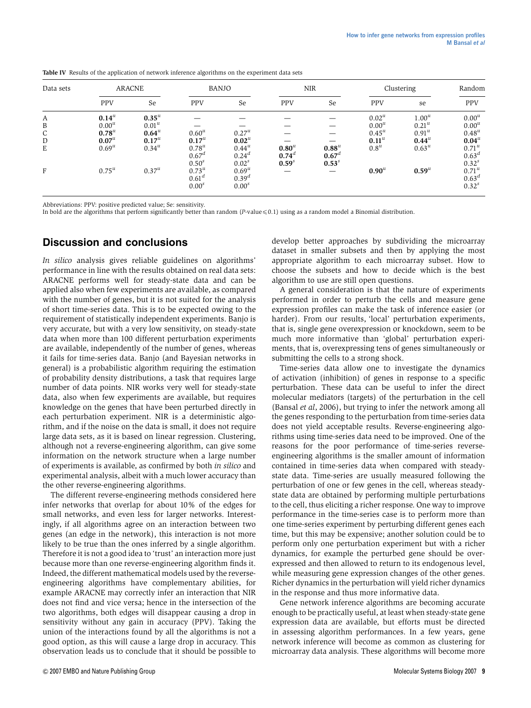| Data sets             | <b>ARACNE</b>                                                      |                                                                         | <b>BANJO</b>                                                                     |                                                                                  | <b>NIR</b>                                                  |                                        | Clustering                                                                    |                                                                           | Random                                                                    |  |
|-----------------------|--------------------------------------------------------------------|-------------------------------------------------------------------------|----------------------------------------------------------------------------------|----------------------------------------------------------------------------------|-------------------------------------------------------------|----------------------------------------|-------------------------------------------------------------------------------|---------------------------------------------------------------------------|---------------------------------------------------------------------------|--|
|                       | <b>PPV</b>                                                         | Se                                                                      | <b>PPV</b>                                                                       | Se                                                                               | <b>PPV</b>                                                  | Se                                     | <b>PPV</b>                                                                    | se                                                                        | PPV                                                                       |  |
| А<br>B<br>C<br>D<br>E | $0.14^{u}$<br>$0.00^{u}$<br>$0.78^{u}$<br>$0.07^{u}$<br>$0.69^{u}$ | 0.35 <sup>u</sup><br>$0.01^{u}$<br>$0.64^u$<br>$0.17^{u}$<br>$0.34^{u}$ | $0.60^u$<br>$0.17^{u}$<br>$0.78^{u}$                                             | $0.27^{u}$<br>$0.02^{u}$<br>$0.44^{u}$                                           | 0.80 <sup>u</sup>                                           | $0.88^u$                               | $0.02^u$<br>$0.00^{u}$<br>$0.45^{u}$<br>0.11 <sup>u</sup><br>0.8 <sup>u</sup> | 1.00 <sup>u</sup><br>$0.21^{u}$<br>$0.91^{u}$<br>$0.44^{u}$<br>$0.63^{u}$ | 0.00 <sup>u</sup><br>$0.00^{u}$<br>$0.48^{u}$<br>$0.04^{u}$<br>$0.71^{u}$ |  |
| F                     | $0.75^{u}$                                                         | $0.37^{u}$                                                              | 0.67 <sup>d</sup><br>$0.50^{s}$<br>$0.73^{u}$<br>0.61 <sup>d</sup><br>$0.00^{s}$ | $0.24^{d}$<br>0.02 <sup>s</sup><br>$0.69^{u}$<br>0.39 <sup>d</sup><br>$0.00^{s}$ | $0.74^{d}$<br>0.59 <sup>s</sup><br>$\overline{\phantom{0}}$ | 0.67 <sup>d</sup><br>0.53 <sup>s</sup> | 0.90 <sup>u</sup>                                                             | 0.59 <sup>u</sup>                                                         | $0.63^{d}$<br>$0.32^{s}$<br>$0.71^{u}$<br>$0.63^d$<br>$0.32^{s}$          |  |

Table IV Results of the application of network inference algorithms on the experiment data sets

Abbreviations: PPV: positive predicted value; Se: sensitivity.

In bold are the algorithms that perform significantly better than random  $(P$ -value  $\leq 0.1)$  using as a random model a Binomial distribution.

# Discussion and conclusions

In silico analysis gives reliable guidelines on algorithms' performance in line with the results obtained on real data sets: ARACNE performs well for steady-state data and can be applied also when few experiments are available, as compared with the number of genes, but it is not suited for the analysis of short time-series data. This is to be expected owing to the requirement of statistically independent experiments. Banjo is very accurate, but with a very low sensitivity, on steady-state data when more than 100 different perturbation experiments are available, independently of the number of genes, whereas it fails for time-series data. Banjo (and Bayesian networks in general) is a probabilistic algorithm requiring the estimation of probability density distributions, a task that requires large number of data points. NIR works very well for steady-state data, also when few experiments are available, but requires knowledge on the genes that have been perturbed directly in each perturbation experiment. NIR is a deterministic algorithm, and if the noise on the data is small, it does not require large data sets, as it is based on linear regression. Clustering, although not a reverse-engineering algorithm, can give some information on the network structure when a large number of experiments is available, as confirmed by both in silico and experimental analysis, albeit with a much lower accuracy than the other reverse-engineering algorithms.

The different reverse-engineering methods considered here infer networks that overlap for about 10% of the edges for small networks, and even less for larger networks. Interestingly, if all algorithms agree on an interaction between two genes (an edge in the network), this interaction is not more likely to be true than the ones inferred by a single algorithm. Therefore it is not a good idea to 'trust' an interaction more just because more than one reverse-engineering algorithm finds it. Indeed, the different mathematical models used by the reverseengineering algorithms have complementary abilities, for example ARACNE may correctly infer an interaction that NIR does not find and vice versa; hence in the intersection of the two algorithms, both edges will disappear causing a drop in sensitivity without any gain in accuracy (PPV). Taking the union of the interactions found by all the algorithms is not a good option, as this will cause a large drop in accuracy. This observation leads us to conclude that it should be possible to

develop better approaches by subdividing the microarray dataset in smaller subsets and then by applying the most appropriate algorithm to each microarray subset. How to choose the subsets and how to decide which is the best algorithm to use are still open questions.

A general consideration is that the nature of experiments performed in order to perturb the cells and measure gene expression profiles can make the task of inference easier (or harder). From our results, 'local' perturbation experiments, that is, single gene overexpression or knockdown, seem to be much more informative than 'global' perturbation experiments, that is, overexpressing tens of genes simultaneously or submitting the cells to a strong shock.

Time-series data allow one to investigate the dynamics of activation (inhibition) of genes in response to a specific perturbation. These data can be useful to infer the direct molecular mediators (targets) of the perturbation in the cell (Bansal et al, 2006), but trying to infer the network among all the genes responding to the perturbation from time-series data does not yield acceptable results. Reverse-engineering algorithms using time-series data need to be improved. One of the reasons for the poor performance of time-series reverseengineering algorithms is the smaller amount of information contained in time-series data when compared with steadystate data. Time-series are usually measured following the perturbation of one or few genes in the cell, whereas steadystate data are obtained by performing multiple perturbations to the cell, thus eliciting a richer response. One way to improve performance in the time-series case is to perform more than one time-series experiment by perturbing different genes each time, but this may be expensive; another solution could be to perform only one perturbation experiment but with a richer dynamics, for example the perturbed gene should be overexpressed and then allowed to return to its endogenous level, while measuring gene expression changes of the other genes. Richer dynamics in the perturbation will yield richer dynamics in the response and thus more informative data.

Gene network inference algorithms are becoming accurate enough to be practically useful, at least when steady-state gene expression data are available, but efforts must be directed in assessing algorithm performances. In a few years, gene network inference will become as common as clustering for microarray data analysis. These algorithms will become more